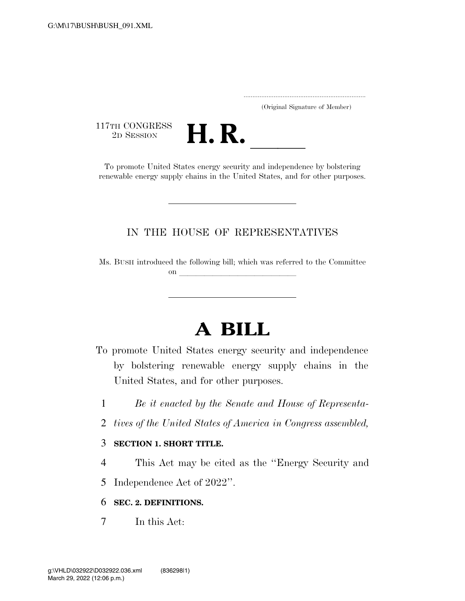..................................................................... (Original Signature of Member)

117TH CONGRESS<br>2D SESSION



THE CONGRESS<br>
2D SESSION<br>
To promote United States energy security and independence by bolstering renewable energy supply chains in the United States, and for other purposes.

## IN THE HOUSE OF REPRESENTATIVES

Ms. BUSH introduced the following bill; which was referred to the Committee on llet us a set of the set of the set of the set of the set of the set of the set of the set of the set of the set of the set of the set of the set of the set of the set of the set of the set of the set of the set of the

# **A BILL**

- To promote United States energy security and independence by bolstering renewable energy supply chains in the United States, and for other purposes.
	- 1 *Be it enacted by the Senate and House of Representa-*
	- 2 *tives of the United States of America in Congress assembled,*

## 3 **SECTION 1. SHORT TITLE.**

- 4 This Act may be cited as the ''Energy Security and
- 5 Independence Act of 2022''.

## 6 **SEC. 2. DEFINITIONS.**

7 In this Act: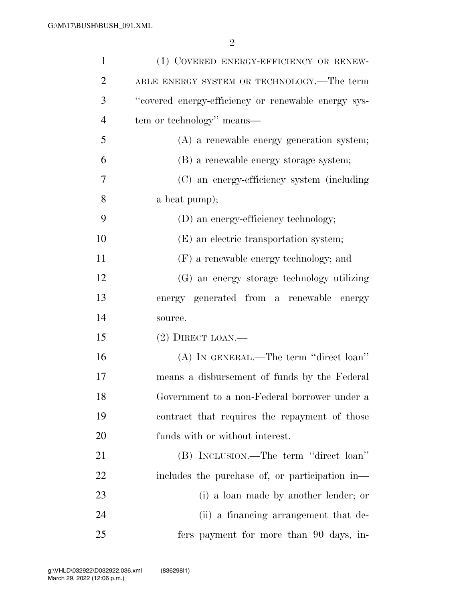| $\mathbf{1}$   | (1) COVERED ENERGY-EFFICIENCY OR RENEW-             |
|----------------|-----------------------------------------------------|
| $\overline{2}$ | ABLE ENERGY SYSTEM OR TECHNOLOGY.—The term          |
| 3              | "covered energy-efficiency or renewable energy sys- |
| $\overline{4}$ | tem or technology" means—                           |
| 5              | (A) a renewable energy generation system;           |
| 6              | (B) a renewable energy storage system;              |
| 7              | (C) an energy-efficiency system (including          |
| 8              | a heat pump);                                       |
| 9              | (D) an energy-efficiency technology;                |
| 10             | (E) an electric transportation system;              |
| 11             | (F) a renewable energy technology; and              |
| 12             | (G) an energy storage technology utilizing          |
| 13             | energy generated from a renewable energy            |
| 14             | source.                                             |
| 15             | $(2)$ DIRECT LOAN.—                                 |
| 16             | (A) IN GENERAL.—The term "direct loan"              |
| 17             | means a disbursement of funds by the Federal        |
| 18             | Government to a non-Federal borrower under a        |
| 19             | contract that requires the repayment of those       |
| 20             | funds with or without interest.                     |
| 21             | (B) INCLUSION.—The term "direct loan"               |
| 22             | includes the purchase of, or participation in-      |
| 23             | (i) a loan made by another lender; or               |
| 24             | (ii) a financing arrangement that de-               |
| 25             | fers payment for more than 90 days, in-             |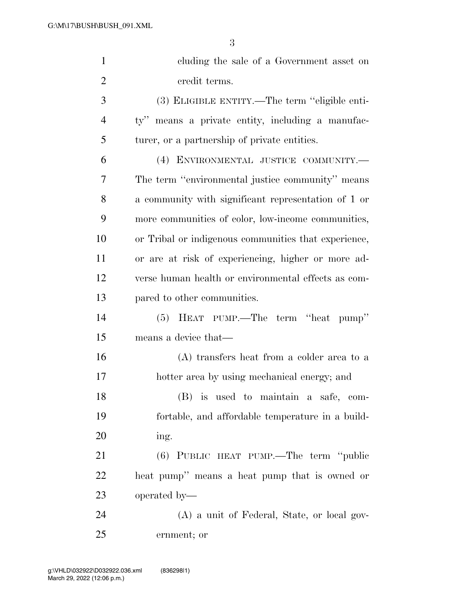| $\mathbf{1}$   | cluding the sale of a Government asset on                       |
|----------------|-----------------------------------------------------------------|
| $\overline{2}$ | credit terms.                                                   |
| 3              | (3) ELIGIBLE ENTITY.—The term "eligible enti-                   |
| $\overline{4}$ | means a private entity, including a manufac-<br>$\mathrm{ty}$ " |
| 5              | turer, or a partnership of private entities.                    |
| 6              | (4) ENVIRONMENTAL JUSTICE COMMUNITY.-                           |
| 7              | The term "environmental justice community" means                |
| 8              | a community with significant representation of 1 or             |
| 9              | more communities of color, low-income communities,              |
| 10             | or Tribal or indigenous communities that experience,            |
| 11             | or are at risk of experiencing, higher or more ad-              |
| 12             | verse human health or environmental effects as com-             |
| 13             | pared to other communities.                                     |
| 14             | HEAT PUMP.—The term "heat pump"<br>(5)                          |
| 15             | means a device that—                                            |
| 16             | (A) transfers heat from a colder area to a                      |
| 17             | hotter area by using mechanical energy; and                     |
| 18             | (B) is used to maintain a safe, com-                            |
| 19             | fortable, and affordable temperature in a build-                |
| 20             | ing.                                                            |

 (6) PUBLIC HEAT PUMP.—The term ''public heat pump'' means a heat pump that is owned or operated by—

 (A) a unit of Federal, State, or local gov-ernment; or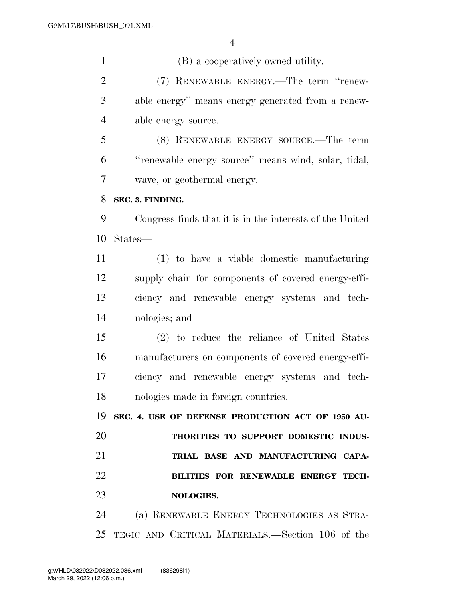(B) a cooperatively owned utility. (7) RENEWABLE ENERGY.—The term ''renew- able energy'' means energy generated from a renew- able energy source. (8) RENEWABLE ENERGY SOURCE.—The term ''renewable energy source'' means wind, solar, tidal, wave, or geothermal energy. **SEC. 3. FINDING.**  Congress finds that it is in the interests of the United States— (1) to have a viable domestic manufacturing supply chain for components of covered energy-effi- ciency and renewable energy systems and tech- nologies; and (2) to reduce the reliance of United States manufacturers on components of covered energy-effi- ciency and renewable energy systems and tech- nologies made in foreign countries. **SEC. 4. USE OF DEFENSE PRODUCTION ACT OF 1950 AU- THORITIES TO SUPPORT DOMESTIC INDUS- TRIAL BASE AND MANUFACTURING CAPA- BILITIES FOR RENEWABLE ENERGY TECH- NOLOGIES.**  (a) RENEWABLE ENERGY TECHNOLOGIES AS STRA-TEGIC AND CRITICAL MATERIALS.—Section 106 of the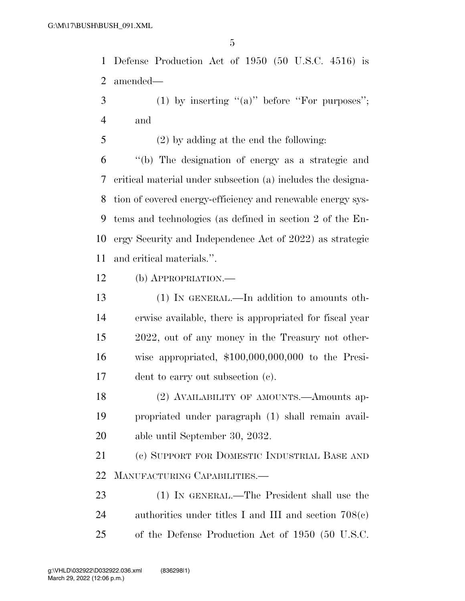Defense Production Act of 1950 (50 U.S.C. 4516) is amended—

 (1) by inserting "(a)" before "For purposes"; and

(2) by adding at the end the following:

 ''(b) The designation of energy as a strategic and critical material under subsection (a) includes the designa- tion of covered energy-efficiency and renewable energy sys- tems and technologies (as defined in section 2 of the En- ergy Security and Independence Act of 2022) as strategic and critical materials.''.

(b) APPROPRIATION.—

 (1) IN GENERAL.—In addition to amounts oth- erwise available, there is appropriated for fiscal year 2022, out of any money in the Treasury not other- wise appropriated, \$100,000,000,000 to the Presi-dent to carry out subsection (c).

18 (2) AVAILABILITY OF AMOUNTS.—Amounts ap- propriated under paragraph (1) shall remain avail-able until September 30, 2032.

 (c) SUPPORT FOR DOMESTIC INDUSTRIAL BASE AND MANUFACTURING CAPABILITIES.—

 (1) IN GENERAL.—The President shall use the authorities under titles I and III and section 708(c) of the Defense Production Act of 1950 (50 U.S.C.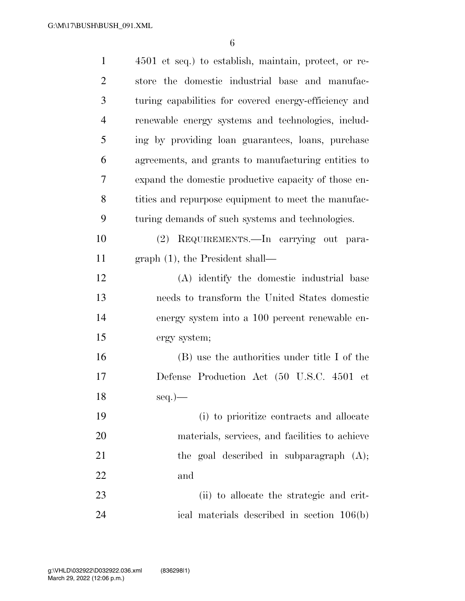| $\mathbf{1}$   | 4501 et seq.) to establish, maintain, protect, or re- |
|----------------|-------------------------------------------------------|
| $\overline{2}$ | store the domestic industrial base and manufac-       |
| 3              | turing capabilities for covered energy-efficiency and |
| $\overline{4}$ | renewable energy systems and technologies, includ-    |
| 5              | ing by providing loan guarantees, loans, purchase     |
| 6              | agreements, and grants to manufacturing entities to   |
| 7              | expand the domestic productive capacity of those en-  |
| 8              | tities and repurpose equipment to meet the manufac-   |
| 9              | turing demands of such systems and technologies.      |
| 10             | (2) REQUIREMENTS.—In carrying out para-               |
| 11             | graph $(1)$ , the President shall—                    |
| 12             | (A) identify the domestic industrial base             |
| 13             | needs to transform the United States domestic         |
| 14             | energy system into a 100 percent renewable en-        |
| 15             | ergy system;                                          |
| 16             | (B) use the authorities under title I of the          |
| 17             | Defense Production Act (50 U.S.C. 4501 et             |
| 18             | $seq.$ )—                                             |
| 19             | (i) to prioritize contracts and allocate              |
| 20             | materials, services, and facilities to achieve        |
| 21             | the goal described in subparagraph $(A)$ ;            |
| 22             | and                                                   |
| 23             | (ii) to allocate the strategic and crit-              |
| 24             | ical materials described in section 106(b)            |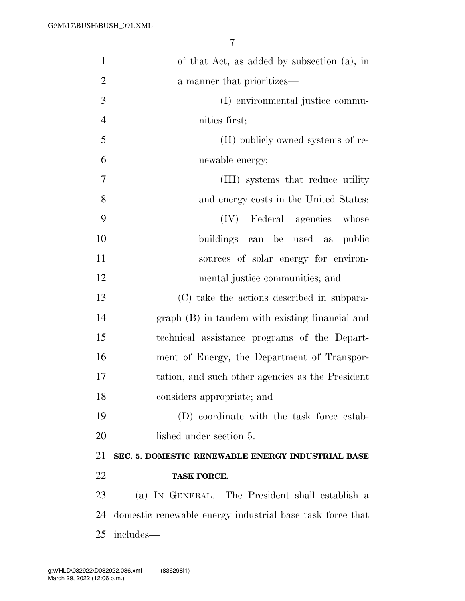| $\mathbf{1}$   | of that Act, as added by subsection (a), in               |
|----------------|-----------------------------------------------------------|
| $\overline{2}$ | a manner that prioritizes—                                |
| 3              | (I) environmental justice commu-                          |
| $\overline{4}$ | nities first;                                             |
| 5              | (II) publicly owned systems of re-                        |
| 6              | newable energy;                                           |
| $\overline{7}$ | (III) systems that reduce utility                         |
| 8              | and energy costs in the United States;                    |
| 9              | (IV) Federal agencies whose                               |
| 10             | buildings can be used as<br>public                        |
| 11             | sources of solar energy for environ-                      |
| 12             | mental justice communities; and                           |
| 13             | (C) take the actions described in subpara-                |
| 14             | graph (B) in tandem with existing financial and           |
| 15             | technical assistance programs of the Depart-              |
| 16             | ment of Energy, the Department of Transpor-               |
| 17             | tation, and such other agencies as the President          |
| 18             | considers appropriate; and                                |
| 19             | (D) coordinate with the task force estab-                 |
| 20             | lished under section 5.                                   |
| 21             | SEC. 5. DOMESTIC RENEWABLE ENERGY INDUSTRIAL BASE         |
| 22             | <b>TASK FORCE.</b>                                        |
| 23             | (a) IN GENERAL.—The President shall establish a           |
| 24             | domestic renewable energy industrial base task force that |
| 25             | includes—                                                 |
|                |                                                           |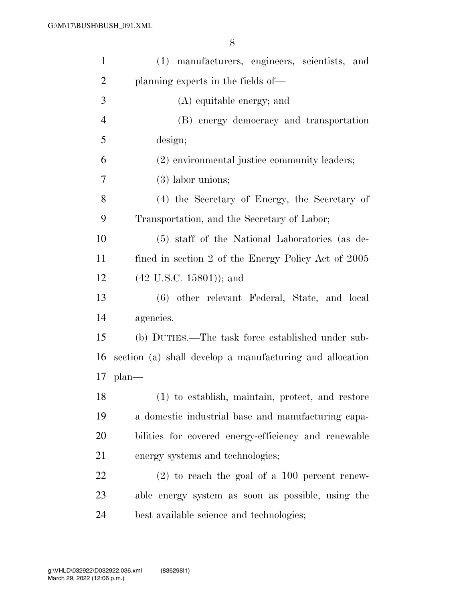| $\mathbf{1}$   | (1) manufacturers, engineers, scientists, and            |
|----------------|----------------------------------------------------------|
| $\overline{2}$ | planning experts in the fields of—                       |
| 3              | (A) equitable energy; and                                |
| $\overline{4}$ | (B) energy democracy and transportation                  |
| 5              | design;                                                  |
| 6              | (2) environmental justice community leaders;             |
| 7              | $(3)$ labor unions;                                      |
| 8              | (4) the Secretary of Energy, the Secretary of            |
| 9              | Transportation, and the Secretary of Labor;              |
| 10             | (5) staff of the National Laboratories (as de-           |
| 11             | fined in section 2 of the Energy Policy Act of 2005      |
| 12             | $(42 \text{ U.S.C. } 15801)$ ; and                       |
| 13             | (6) other relevant Federal, State, and local             |
| 14             | agencies.                                                |
| 15             | (b) DUTIES.—The task force established under sub-        |
| 16             | section (a) shall develop a manufacturing and allocation |
|                | $17$ plan—                                               |
| 18             | (1) to establish, maintain, protect, and restore         |
| 19             | a domestic industrial base and manufacturing capa-       |
| 20             | bilities for covered energy-efficiency and renewable     |
| 21             | energy systems and technologies;                         |
| 22             | $(2)$ to reach the goal of a 100 percent renew-          |
| 23             | able energy system as soon as possible, using the        |
| 24             | best available science and technologies;                 |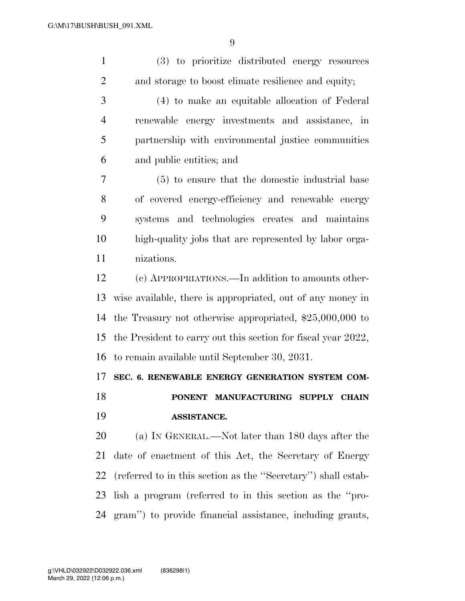| $\mathbf{1}$   | (3) to prioritize distributed energy resources                |
|----------------|---------------------------------------------------------------|
| $\overline{2}$ | and storage to boost climate resilience and equity;           |
| 3              | (4) to make an equitable allocation of Federal                |
| $\overline{4}$ | renewable energy investments and assistance, in               |
| 5              | partnership with environmental justice communities            |
| 6              | and public entities; and                                      |
| 7              | (5) to ensure that the domestic industrial base               |
| 8              | of covered energy-efficiency and renewable energy             |
| 9              | systems and technologies creates and maintains                |
| 10             | high-quality jobs that are represented by labor orga-         |
| 11             | nizations.                                                    |
| 12             | (c) APPROPRIATIONS.—In addition to amounts other-             |
| 13             | wise available, there is appropriated, out of any money in    |
| 14             | the Treasury not otherwise appropriated, $$25,000,000$ to     |
| 15             | the President to carry out this section for fiscal year 2022, |
| 16             | to remain available until September 30, 2031.                 |
| 17             | SEC. 6. RENEWABLE ENERGY GENERATION SYSTEM COM-               |
| 18             | PONENT MANUFACTURING SUPPLY CHAIN                             |
| 19             | ASSISTANCE.                                                   |
| 20             | (a) IN GENERAL.—Not later than 180 days after the             |
| 21             | date of enactment of this Act, the Secretary of Energy        |
| 22             | (referred to in this section as the "Secretary") shall estab- |
| 23             | lish a program (referred to in this section as the "pro-      |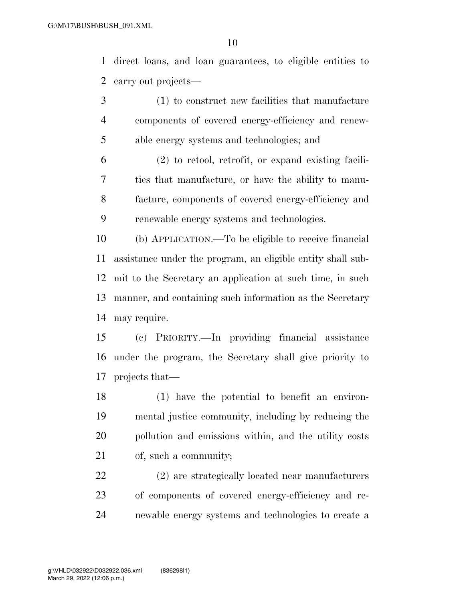direct loans, and loan guarantees, to eligible entities to carry out projects—

- (1) to construct new facilities that manufacture components of covered energy-efficiency and renew-able energy systems and technologies; and
- (2) to retool, retrofit, or expand existing facili- ties that manufacture, or have the ability to manu- facture, components of covered energy-efficiency and renewable energy systems and technologies.

 (b) APPLICATION.—To be eligible to receive financial assistance under the program, an eligible entity shall sub- mit to the Secretary an application at such time, in such manner, and containing such information as the Secretary may require.

 (c) PRIORITY.—In providing financial assistance under the program, the Secretary shall give priority to projects that—

 (1) have the potential to benefit an environ- mental justice community, including by reducing the pollution and emissions within, and the utility costs of, such a community;

 (2) are strategically located near manufacturers of components of covered energy-efficiency and re-newable energy systems and technologies to create a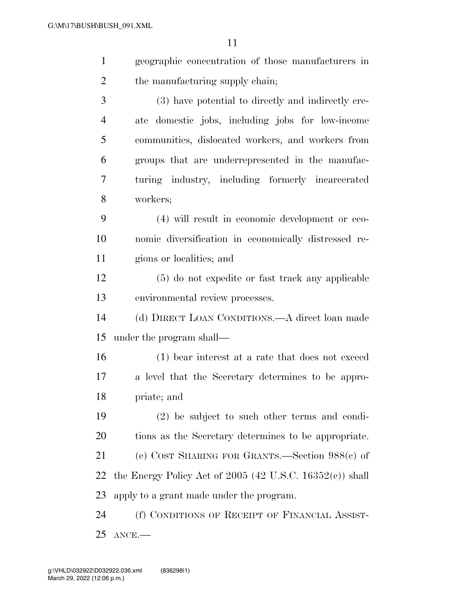| $\mathbf{1}$   | geographic concentration of those manufacturers in         |
|----------------|------------------------------------------------------------|
| 2              | the manufacturing supply chain;                            |
| 3              | (3) have potential to directly and indirectly cre-         |
| $\overline{4}$ | ate domestic jobs, including jobs for low-income           |
| 5              | communities, dislocated workers, and workers from          |
| 6              | groups that are underrepresented in the manufac-           |
| 7              | turing industry, including formerly incarcerated           |
| 8              | workers;                                                   |
| 9              | (4) will result in economic development or eco-            |
| 10             | nomic diversification in economically distressed re-       |
| 11             | gions or localities; and                                   |
| 12             | (5) do not expedite or fast track any applicable           |
| 13             | environmental review processes.                            |
| 14             | (d) DIRECT LOAN CONDITIONS.—A direct loan made             |
| 15             | under the program shall—                                   |
| 16             | (1) bear interest at a rate that does not exceed           |
| 17             | a level that the Secretary determines to be appro-         |
| 18             | priate; and                                                |
| 19             | $(2)$ be subject to such other terms and condi-            |
| 20             | tions as the Secretary determines to be appropriate.       |
| 21             | (e) COST SHARING FOR GRANTS.—Section $988(c)$ of           |
| 22             | the Energy Policy Act of $2005$ (42 U.S.C. 16352(c)) shall |
| 23             | apply to a grant made under the program.                   |
| $\mathcal{L}$  | $f(x)$ Comprisions on December on Finisherity Agencies     |

 (f) CONDITIONS OF RECEIPT OF FINANCIAL ASSIST-ANCE.—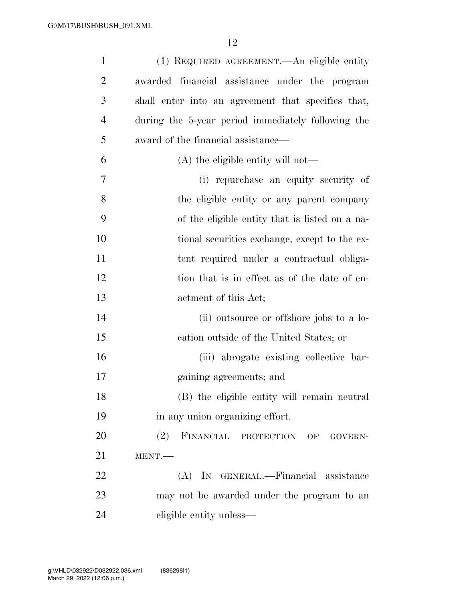| $\mathbf{1}$   | (1) REQUIRED AGREEMENT.—An eligible entity         |
|----------------|----------------------------------------------------|
| $\overline{2}$ | awarded financial assistance under the program     |
| 3              | shall enter into an agreement that specifies that, |
| $\overline{4}$ | during the 5-year period immediately following the |
| 5              | award of the financial assistance—                 |
| 6              | (A) the eligible entity will not—                  |
| 7              | (i) repurchase an equity security of               |
| 8              | the eligible entity or any parent company          |
| 9              | of the eligible entity that is listed on a na-     |
| 10             | tional securities exchange, except to the ex-      |
| 11             | tent required under a contractual obliga-          |
| 12             | tion that is in effect as of the date of en-       |
| 13             | actment of this Act;                               |
| 14             | (ii) outsource or offshore jobs to a lo-           |
| 15             | cation outside of the United States; or            |
| 16             | (iii) abrogate existing collective bar-            |
| 17             | gaining agreements; and                            |
| 18             | (B) the eligible entity will remain neutral        |
| 19             | in any union organizing effort.                    |
| 20             | FINANCIAL PROTECTION OF<br>(2)<br>GOVERN-          |
| 21             | MENT.                                              |
| 22             | (A) IN GENERAL.—Financial assistance               |
| 23             | may not be awarded under the program to an         |
| 24             | eligible entity unless—                            |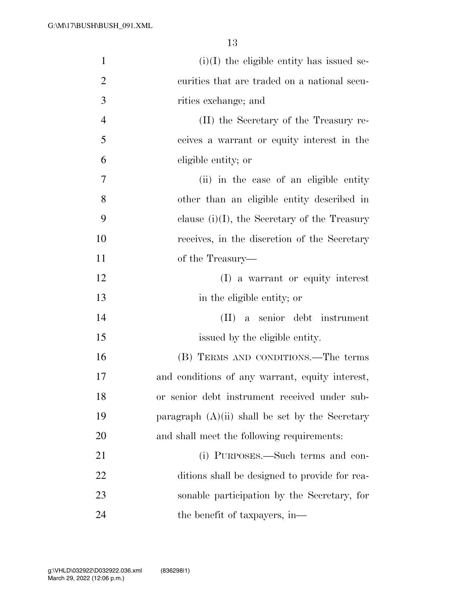| $\mathbf{1}$   | $(i)(I)$ the eligible entity has issued se-       |
|----------------|---------------------------------------------------|
| $\overline{2}$ | curities that are traded on a national secu-      |
| 3              | rities exchange; and                              |
| $\overline{4}$ | (II) the Secretary of the Treasury re-            |
| 5              | ceives a warrant or equity interest in the        |
| 6              | eligible entity; or                               |
| 7              | (ii) in the case of an eligible entity            |
| 8              | other than an eligible entity described in        |
| 9              | clause $(i)(I)$ , the Secretary of the Treasury   |
| 10             | receives, in the discretion of the Secretary      |
| 11             | of the Treasury—                                  |
| 12             | (I) a warrant or equity interest                  |
| 13             | in the eligible entity; or                        |
| 14             | (II) a senior debt instrument                     |
| 15             | issued by the eligible entity.                    |
| 16             | (B) TERMS AND CONDITIONS.—The terms               |
| 17             | and conditions of any warrant, equity interest,   |
| 18             | or senior debt instrument received under sub-     |
| 19             | paragraph $(A)(ii)$ shall be set by the Secretary |
| 20             | and shall meet the following requirements:        |
| 21             | (i) PURPOSES.—Such terms and con-                 |
| 22             | ditions shall be designed to provide for rea-     |
| 23             | sonable participation by the Secretary, for       |
| 24             | the benefit of taxpayers, in—                     |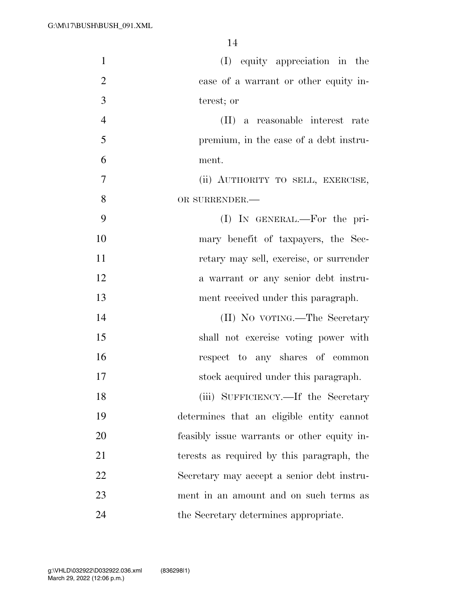| $\mathbf{1}$   | (I) equity appreciation in the              |
|----------------|---------------------------------------------|
| $\overline{2}$ | case of a warrant or other equity in-       |
| 3              | terest; or                                  |
| $\overline{4}$ | (II) a reasonable interest rate             |
| 5              | premium, in the case of a debt instru-      |
| 6              | ment.                                       |
| $\overline{7}$ | (ii) AUTHORITY TO SELL, EXERCISE,           |
| 8              | OR SURRENDER.-                              |
| 9              | (I) IN GENERAL.—For the pri-                |
| 10             | mary benefit of taxpayers, the Sec-         |
| 11             | retary may sell, exercise, or surrender     |
| 12             | a warrant or any senior debt instru-        |
| 13             | ment received under this paragraph.         |
| 14             | (II) No vortng.—The Secretary               |
| 15             | shall not exercise voting power with        |
| 16             | respect to any shares of common             |
| 17             | stock acquired under this paragraph.        |
| 18             | (iii) SUFFICIENCY.—If the Secretary         |
| 19             | determines that an eligible entity cannot   |
| 20             | feasibly issue warrants or other equity in- |
| 21             | terests as required by this paragraph, the  |
| 22             | Secretary may accept a senior debt instru-  |
| 23             | ment in an amount and on such terms as      |
| 24             | the Secretary determines appropriate.       |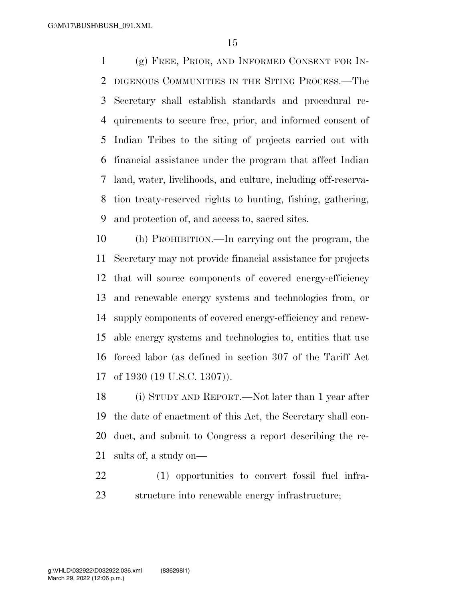(g) FREE, PRIOR, AND INFORMED CONSENT FOR IN- DIGENOUS COMMUNITIES IN THE SITING PROCESS.—The Secretary shall establish standards and procedural re- quirements to secure free, prior, and informed consent of Indian Tribes to the siting of projects carried out with financial assistance under the program that affect Indian land, water, livelihoods, and culture, including off-reserva- tion treaty-reserved rights to hunting, fishing, gathering, and protection of, and access to, sacred sites.

 (h) PROHIBITION.—In carrying out the program, the Secretary may not provide financial assistance for projects that will source components of covered energy-efficiency and renewable energy systems and technologies from, or supply components of covered energy-efficiency and renew- able energy systems and technologies to, entities that use forced labor (as defined in section 307 of the Tariff Act of 1930 (19 U.S.C. 1307)).

 (i) STUDY AND REPORT.—Not later than 1 year after the date of enactment of this Act, the Secretary shall con- duct, and submit to Congress a report describing the re-sults of, a study on—

 (1) opportunities to convert fossil fuel infra-structure into renewable energy infrastructure;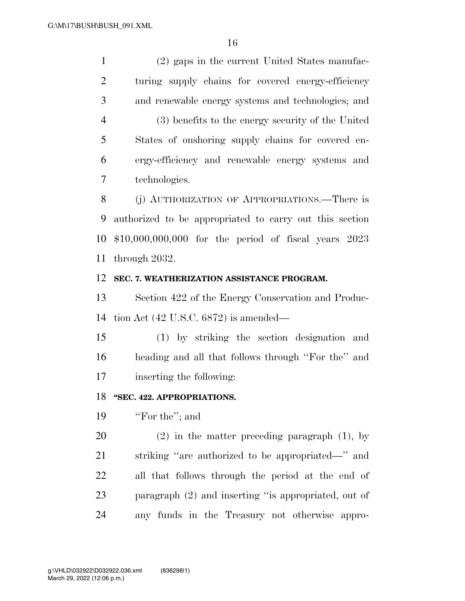(2) gaps in the current United States manufac- turing supply chains for covered energy-efficiency and renewable energy systems and technologies; and (3) benefits to the energy security of the United States of onshoring supply chains for covered en- ergy-efficiency and renewable energy systems and technologies.

 (j) AUTHORIZATION OF APPROPRIATIONS.—There is authorized to be appropriated to carry out this section \$10,000,000,000 for the period of fiscal years 2023 through 2032.

#### **SEC. 7. WEATHERIZATION ASSISTANCE PROGRAM.**

 Section 422 of the Energy Conservation and Produc-tion Act (42 U.S.C. 6872) is amended—

 (1) by striking the section designation and heading and all that follows through ''For the'' and inserting the following:

#### **''SEC. 422. APPROPRIATIONS.**

19 'For the"; and

 (2) in the matter preceding paragraph (1), by striking ''are authorized to be appropriated—'' and all that follows through the period at the end of paragraph (2) and inserting ''is appropriated, out of any funds in the Treasury not otherwise appro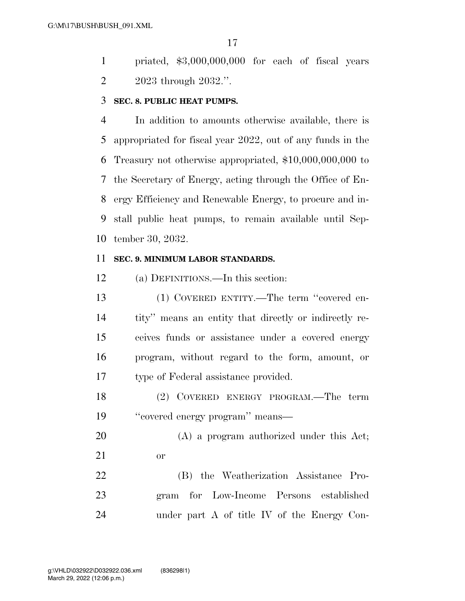priated, \$3,000,000,000 for each of fiscal years 2023 through 2032.''.

#### **SEC. 8. PUBLIC HEAT PUMPS.**

 In addition to amounts otherwise available, there is appropriated for fiscal year 2022, out of any funds in the Treasury not otherwise appropriated, \$10,000,000,000 to the Secretary of Energy, acting through the Office of En- ergy Efficiency and Renewable Energy, to procure and in- stall public heat pumps, to remain available until Sep-tember 30, 2032.

#### **SEC. 9. MINIMUM LABOR STANDARDS.**

(a) DEFINITIONS.—In this section:

 (1) COVERED ENTITY.—The term ''covered en- tity'' means an entity that directly or indirectly re- ceives funds or assistance under a covered energy program, without regard to the form, amount, or type of Federal assistance provided.

 (2) COVERED ENERGY PROGRAM.—The term ''covered energy program'' means—

 (A) a program authorized under this Act; or

 (B) the Weatherization Assistance Pro- gram for Low-Income Persons established under part A of title IV of the Energy Con-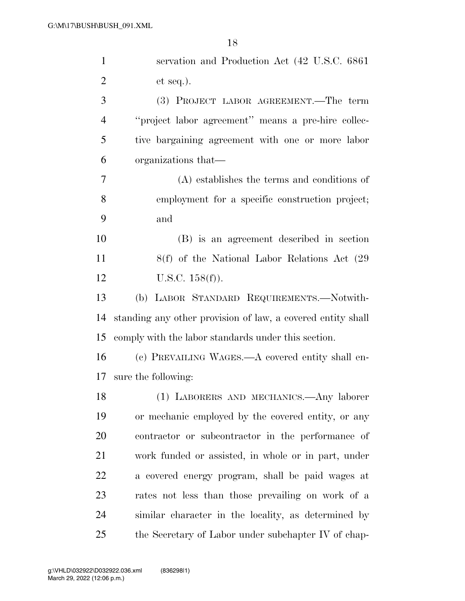| $\mathbf{1}$   | servation and Production Act (42 U.S.C. 6861)               |
|----------------|-------------------------------------------------------------|
| $\overline{2}$ | $et seq.$ ).                                                |
| 3              | (3) PROJECT LABOR AGREEMENT.—The term                       |
| $\overline{4}$ | "project labor agreement" means a pre-hire collec-          |
| 5              | tive bargaining agreement with one or more labor            |
| 6              | organizations that—                                         |
| 7              | (A) establishes the terms and conditions of                 |
| 8              | employment for a specific construction project;             |
| 9              | and                                                         |
| 10             | (B) is an agreement described in section                    |
| 11             | 8(f) of the National Labor Relations Act (29)               |
| 12             | U.S.C. $158(f)$ ).                                          |
| 13             | (b) LABOR STANDARD REQUIREMENTS.-Notwith-                   |
| 14             | standing any other provision of law, a covered entity shall |
| 15             | comply with the labor standards under this section.         |
| 16             | (c) PREVAILING WAGES.—A covered entity shall en-            |
| 17             | sure the following:                                         |
| 18             | (1) LABORERS AND MECHANICS.—Any laborer                     |
| 19             | or mechanic employed by the covered entity, or any          |
| 20             | contractor or subcontractor in the performance of           |
| 21             | work funded or assisted, in whole or in part, under         |
| 22             | a covered energy program, shall be paid wages at            |
| 23             | rates not less than those prevailing on work of a           |
| 24             | similar character in the locality, as determined by         |
| 25             | the Secretary of Labor under subchapter IV of chap-         |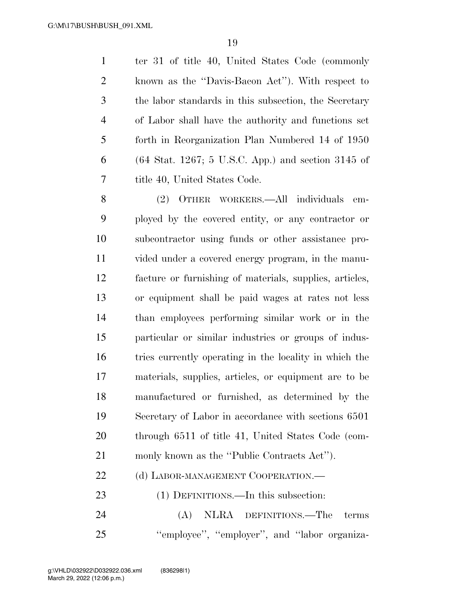ter 31 of title 40, United States Code (commonly known as the ''Davis-Bacon Act''). With respect to the labor standards in this subsection, the Secretary of Labor shall have the authority and functions set forth in Reorganization Plan Numbered 14 of 1950 (64 Stat. 1267; 5 U.S.C. App.) and section 3145 of title 40, United States Code.

 (2) OTHER WORKERS.—All individuals em- ployed by the covered entity, or any contractor or subcontractor using funds or other assistance pro- vided under a covered energy program, in the manu- facture or furnishing of materials, supplies, articles, or equipment shall be paid wages at rates not less than employees performing similar work or in the particular or similar industries or groups of indus- tries currently operating in the locality in which the materials, supplies, articles, or equipment are to be manufactured or furnished, as determined by the Secretary of Labor in accordance with sections 6501 through 6511 of title 41, United States Code (com-monly known as the ''Public Contracts Act'').

22 (d) LABOR-MANAGEMENT COOPERATION.—

(1) DEFINITIONS.—In this subsection:

 (A) NLRA DEFINITIONS.—The terms 25 "employee", "employer", and "labor organiza-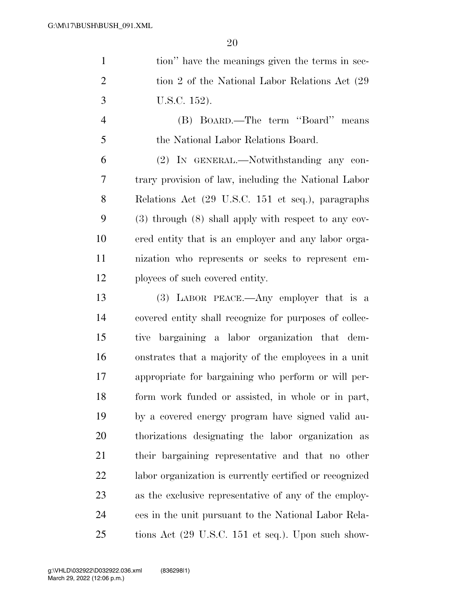| $\mathbf{1}$   | tion" have the meanings given the terms in sec-          |
|----------------|----------------------------------------------------------|
| $\overline{2}$ | tion 2 of the National Labor Relations Act (29)          |
| 3              | U.S.C. 152).                                             |
| $\overline{4}$ | (B) BOARD.—The term "Board" means                        |
| 5              | the National Labor Relations Board.                      |
| 6              | (2) IN GENERAL.—Notwithstanding any con-                 |
| $\overline{7}$ | trary provision of law, including the National Labor     |
| 8              | Relations Act (29 U.S.C. 151 et seq.), paragraphs        |
| 9              | $(3)$ through $(8)$ shall apply with respect to any cov- |
| 10             | ered entity that is an employer and any labor orga-      |
| 11             | nization who represents or seeks to represent em-        |
| 12             | ployees of such covered entity.                          |
| 13             | $(3)$ LABOR PEACE.—Any employer that is a                |
| 14             | covered entity shall recognize for purposes of collec-   |
| 15             | tive bargaining a labor organization that dem-           |
| 16             | onstrates that a majority of the employees in a unit     |
| 17             | appropriate for bargaining who perform or will per-      |
| 18             | form work funded or assisted, in whole or in part,       |
| 19             | by a covered energy program have signed valid au-        |
| 20             | thorizations designating the labor organization as       |
| 21             | their bargaining representative and that no other        |
| 22             | labor organization is currently certified or recognized  |
| 23             | as the exclusive representative of any of the employ-    |
| 24             | ees in the unit pursuant to the National Labor Rela-     |
| 25             | tions Act (29 U.S.C. 151 et seq.). Upon such show-       |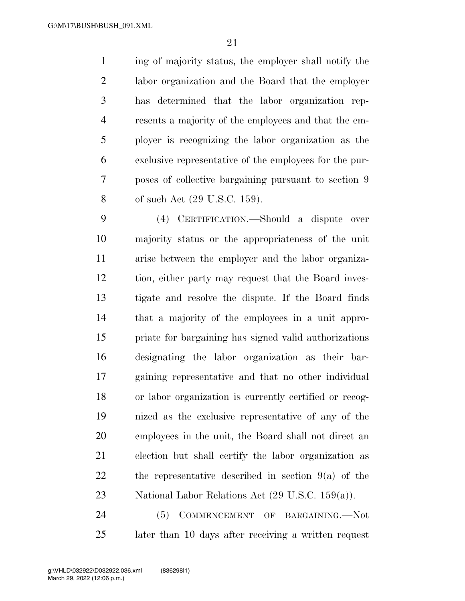ing of majority status, the employer shall notify the labor organization and the Board that the employer has determined that the labor organization rep- resents a majority of the employees and that the em- ployer is recognizing the labor organization as the exclusive representative of the employees for the pur- poses of collective bargaining pursuant to section 9 of such Act (29 U.S.C. 159).

 (4) CERTIFICATION.—Should a dispute over majority status or the appropriateness of the unit arise between the employer and the labor organiza- tion, either party may request that the Board inves- tigate and resolve the dispute. If the Board finds that a majority of the employees in a unit appro- priate for bargaining has signed valid authorizations designating the labor organization as their bar- gaining representative and that no other individual or labor organization is currently certified or recog- nized as the exclusive representative of any of the employees in the unit, the Board shall not direct an election but shall certify the labor organization as the representative described in section 9(a) of the National Labor Relations Act (29 U.S.C. 159(a)).

24 (5) COMMENCEMENT OF BARGAINING. Not later than 10 days after receiving a written request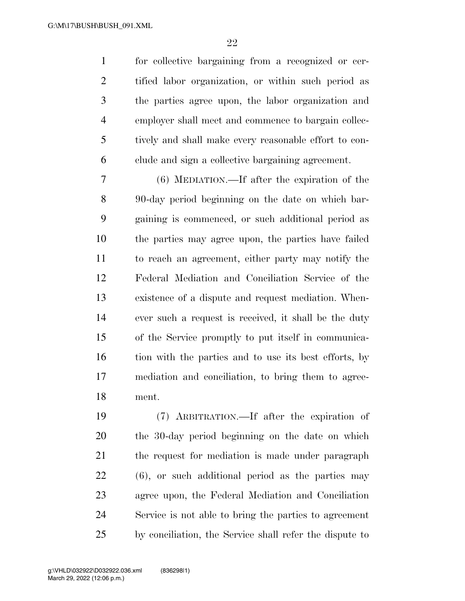for collective bargaining from a recognized or cer- tified labor organization, or within such period as the parties agree upon, the labor organization and employer shall meet and commence to bargain collec- tively and shall make every reasonable effort to con-clude and sign a collective bargaining agreement.

 (6) MEDIATION.—If after the expiration of the 90-day period beginning on the date on which bar- gaining is commenced, or such additional period as the parties may agree upon, the parties have failed to reach an agreement, either party may notify the Federal Mediation and Conciliation Service of the existence of a dispute and request mediation. When- ever such a request is received, it shall be the duty of the Service promptly to put itself in communica-16 tion with the parties and to use its best efforts, by mediation and conciliation, to bring them to agree-ment.

 (7) ARBITRATION.—If after the expiration of the 30-day period beginning on the date on which the request for mediation is made under paragraph (6), or such additional period as the parties may agree upon, the Federal Mediation and Conciliation Service is not able to bring the parties to agreement by conciliation, the Service shall refer the dispute to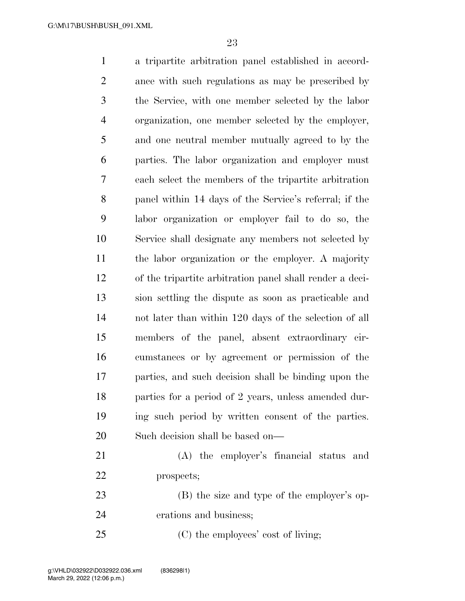a tripartite arbitration panel established in accord- ance with such regulations as may be prescribed by the Service, with one member selected by the labor organization, one member selected by the employer, and one neutral member mutually agreed to by the parties. The labor organization and employer must each select the members of the tripartite arbitration panel within 14 days of the Service's referral; if the labor organization or employer fail to do so, the Service shall designate any members not selected by the labor organization or the employer. A majority of the tripartite arbitration panel shall render a deci- sion settling the dispute as soon as practicable and not later than within 120 days of the selection of all members of the panel, absent extraordinary cir- cumstances or by agreement or permission of the parties, and such decision shall be binding upon the parties for a period of 2 years, unless amended dur- ing such period by written consent of the parties. Such decision shall be based on— (A) the employer's financial status and prospects; (B) the size and type of the employer's op-erations and business;

25 (C) the employees' cost of living;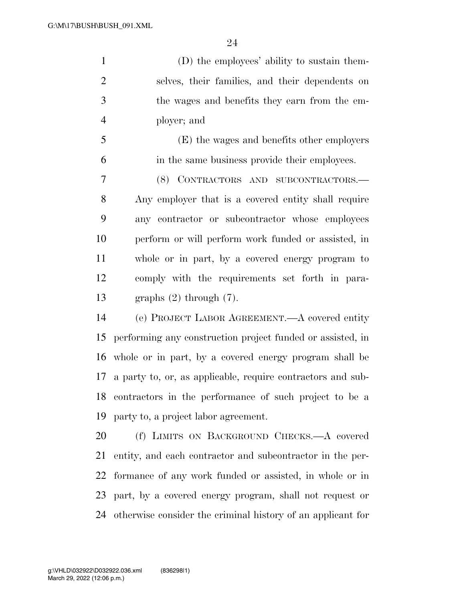(D) the employees' ability to sustain them- selves, their families, and their dependents on the wages and benefits they earn from the em-ployer; and

 (E) the wages and benefits other employers in the same business provide their employees.

 (8) CONTRACTORS AND SUBCONTRACTORS.— Any employer that is a covered entity shall require any contractor or subcontractor whose employees perform or will perform work funded or assisted, in whole or in part, by a covered energy program to comply with the requirements set forth in para-graphs (2) through (7).

 (e) PROJECT LABOR AGREEMENT.—A covered entity performing any construction project funded or assisted, in whole or in part, by a covered energy program shall be a party to, or, as applicable, require contractors and sub- contractors in the performance of such project to be a party to, a project labor agreement.

 (f) LIMITS ON BACKGROUND CHECKS.—A covered entity, and each contractor and subcontractor in the per- formance of any work funded or assisted, in whole or in part, by a covered energy program, shall not request or otherwise consider the criminal history of an applicant for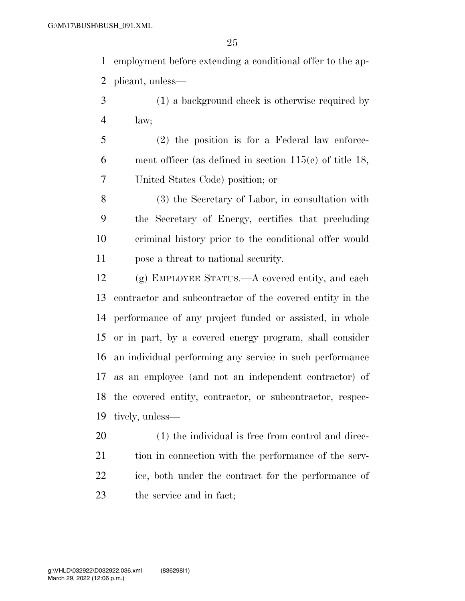employment before extending a conditional offer to the ap-plicant, unless—

- (1) a background check is otherwise required by law;
- (2) the position is for a Federal law enforce- ment officer (as defined in section 115(c) of title 18, United States Code) position; or

 (3) the Secretary of Labor, in consultation with the Secretary of Energy, certifies that precluding criminal history prior to the conditional offer would pose a threat to national security.

 (g) EMPLOYEE STATUS.—A covered entity, and each contractor and subcontractor of the covered entity in the performance of any project funded or assisted, in whole or in part, by a covered energy program, shall consider an individual performing any service in such performance as an employee (and not an independent contractor) of the covered entity, contractor, or subcontractor, respec-tively, unless—

 (1) the individual is free from control and direc-21 tion in connection with the performance of the serv- ice, both under the contract for the performance of the service and in fact;